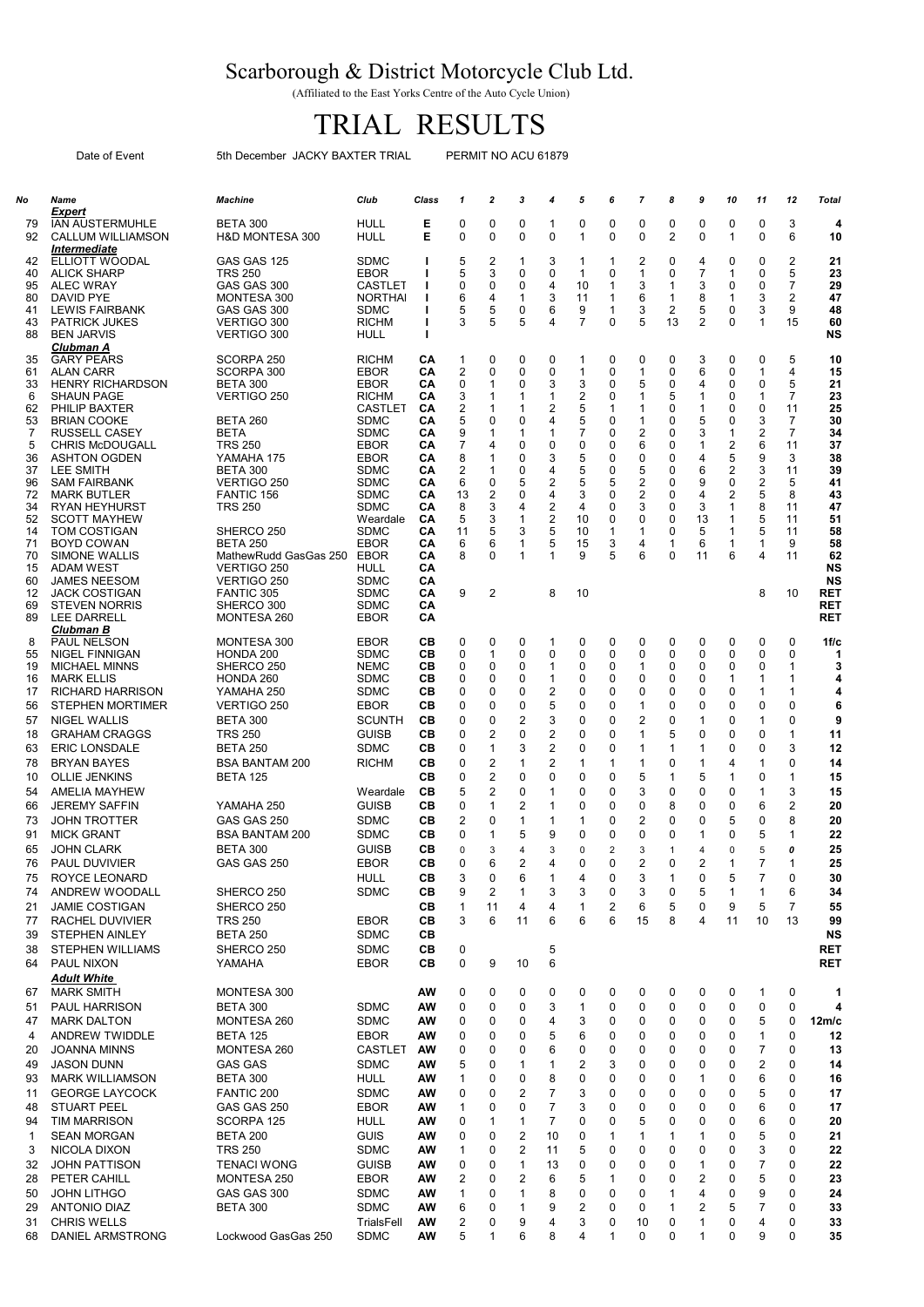## Scarborough & District Motorcycle Club Ltd.

(Affiliated to the East Yorks Centre of the Auto Cycle Union)

## TRIAL RESULTS

Date of Event 5th December JACKY BAXTER TRIAL PERMIT NO ACU 61879

| No       | Name                                                                                              | Machine                                       | Club                          | Class    | 1                            | 2            | 3                   | 4                            | 5                  | 6              | 7                            | 8                   | 9                   | 10                           | 11           | 12                   | <b>Total</b>      |
|----------|---------------------------------------------------------------------------------------------------|-----------------------------------------------|-------------------------------|----------|------------------------------|--------------|---------------------|------------------------------|--------------------|----------------|------------------------------|---------------------|---------------------|------------------------------|--------------|----------------------|-------------------|
| 79<br>92 | <b>Expert</b><br><b>IAN AUSTERMUHLE</b><br><b>CALLUM WILLIAMSON</b><br><i><b>Intermediate</b></i> | <b>BETA 300</b><br><b>H&amp;D MONTESA 300</b> | HULL<br><b>HULL</b>           | Е<br>Е   | 0<br>0                       | 0<br>0       | 0<br>0              | 1<br>$\mathbf 0$             | 0<br>1             | 0<br>0         | 0<br>0                       | 0<br>$\overline{2}$ | 0<br>0              | 0<br>$\mathbf{1}$            | 0<br>0       | 3<br>6               | 4<br>10           |
| 42       | ELLIOTT WOODAL                                                                                    | GAS GAS 125                                   | <b>SDMC</b>                   | H        | 5                            | 2            | 1                   | 3                            | 1                  | 1              | 2                            | 0                   | 4                   | 0                            | 0            | 2                    | 21                |
| 40<br>95 | <b>ALICK SHARP</b><br>ALEC WRAY                                                                   | <b>TRS 250</b><br>GAS GAS 300                 | <b>EBOR</b><br>CASTLET        | ш<br>ш   | 5<br>0                       | 3<br>0       | 0<br>0              | 0<br>4                       | $\mathbf{1}$<br>10 | 0<br>1         | 1<br>3                       | 0<br>1              | $\overline{7}$<br>3 | $\mathbf{1}$<br>0            | 0<br>0       | 5<br>$\overline{7}$  | 23<br>29          |
| 80       | <b>DAVID PYE</b>                                                                                  | MONTESA 300                                   | <b>NORTHAI</b>                |          | 6                            | 4            | 1                   | 3                            | 11                 | 1              | 6                            | $\mathbf{1}$        | 8                   | 1                            | 3            | $\overline{2}$       | 47                |
| 41       | <b>LEWIS FAIRBANK</b>                                                                             | GAS GAS 300                                   | <b>SDMC</b>                   |          | 5                            | 5            | 0                   | 6                            | 9                  | 1              | 3                            | 2                   | 5                   | 0                            | 3            | 9                    | 48                |
| 43<br>88 | <b>PATRICK JUKES</b><br><b>BEN JARVIS</b>                                                         | <b>VERTIGO 300</b><br>VERTIGO 300             | <b>RICHM</b><br>HULL          | ш<br>ı   | 3                            | 5            | 5                   | $\overline{4}$               | 7                  | 0              | 5                            | 13                  | $\overline{2}$      | 0                            | $\mathbf{1}$ | 15                   | 60<br><b>NS</b>   |
|          | <b>Clubman A</b>                                                                                  |                                               |                               |          |                              |              |                     |                              |                    |                |                              |                     |                     |                              |              |                      |                   |
| 35<br>61 | <b>GARY PEARS</b><br>ALAN CARR                                                                    | SCORPA 250<br>SCORPA 300                      | <b>RICHM</b><br><b>EBOR</b>   | CА<br>CA | 1<br>$\overline{\mathbf{c}}$ | 0<br>0       | 0<br>0              | 0<br>0                       | 1<br>1             | 0<br>0         | 0                            | 0<br>$\Omega$       | 3<br>6              | 0<br>0                       | 0<br>1       | 5<br>4               | 10<br>15          |
| 33       | <b>HENRY RICHARDSON</b>                                                                           | <b>BETA 300</b>                               | EBOR                          | CА       | 0                            | 1            | 0                   | 3                            | 3                  | 0              | 1<br>5                       | 0                   | 4                   | 0                            | 0            | 5                    | 21                |
| 6        | <b>SHAUN PAGE</b>                                                                                 | VERTIGO 250                                   | <b>RICHM</b>                  | CА       | 3                            | 1            | 1                   | $\mathbf{1}$                 | 2                  | 0              | 1                            | 5                   | 1                   | 0                            | 1            | $\overline{7}$       | 23                |
| 62<br>53 | PHILIP BAXTER<br><b>BRIAN COOKE</b>                                                               | <b>BETA 260</b>                               | <b>CASTLET</b><br><b>SDMC</b> | CА<br>CА | 2<br>5                       | 1<br>0       | 1<br>0              | 2<br>4                       | 5<br>5             | 1<br>0         | 1<br>1                       | 0<br>0              | 1<br>5              | 0<br>0                       | 0<br>3       | 11<br>$\overline{7}$ | 25<br>30          |
| 7        | <b>RUSSELL CASEY</b>                                                                              | BETA                                          | <b>SDMC</b>                   | CА       | 9                            | 1            | -1                  | 1                            | $\overline{7}$     | 0              | 2                            | 0                   | 3                   | $\mathbf 1$                  | 2            | $\overline{7}$       | 34                |
| 5        | <b>CHRIS McDOUGALL</b>                                                                            | <b>TRS 250</b>                                | <b>EBOR</b>                   | CА       | 7                            | 4            | 0                   | 0                            | 0                  | 0              | 6                            | 0                   | 1                   | 2                            | 6            | 11                   | 37                |
| 36<br>37 | ASHTON OGDEN<br><b>LEE SMITH</b>                                                                  | YAMAHA 175<br><b>BETA 300</b>                 | <b>EBOR</b><br><b>SDMC</b>    | CА<br>CА | 8<br>2                       | 1<br>1       | 0<br>0              | 3<br>4                       | 5<br>5             | 0<br>0         | 0<br>5                       | 0<br>0              | 4<br>6              | 5<br>$\overline{\mathbf{c}}$ | 9<br>3       | 3<br>11              | 38<br>39          |
| 96       | <b>SAM FAIRBANK</b>                                                                               | VERTIGO 250                                   | <b>SDMC</b>                   | CА       | 6                            | 0            | 5                   | 2                            | 5                  | 5              | 2                            | 0                   | 9                   | 0                            | 2            | 5                    | 41                |
| 72<br>34 | <b>MARK BUTLER</b><br><b>RYAN HEYHURST</b>                                                        | FANTIC 156<br>TRS 250                         | <b>SDMC</b><br><b>SDMC</b>    | CА<br>СA | 13<br>8                      | 2<br>3       | 0<br>4              | 4<br>$\overline{\mathbf{c}}$ | 3<br>4             | 0<br>$\Omega$  | $\overline{\mathbf{c}}$<br>3 | 0<br>0              | 4<br>3              | 2<br>1                       | 5<br>8       | 8<br>11              | 43<br>47          |
| 52       | <b>SCOTT MAYHEW</b>                                                                               |                                               | Weardale                      | CА       | 5                            | 3            | 1                   | 2                            | 10                 | 0              | 0                            | 0                   | 13                  | 1                            | 5            | 11                   | 51                |
| 14       | <b>TOM COSTIGAN</b>                                                                               | SHERCO 250                                    | <b>SDMC</b>                   | CА       | 11                           | 5            | 3                   | 5                            | 10                 | 1              | 1                            | 0                   | 5                   | 1                            | 5            | 11                   | 58                |
| 71<br>70 | <b>BOYD COWAN</b><br><b>SIMONE WALLIS</b>                                                         | <b>BETA 250</b><br>MathewRudd GasGas 250      | <b>EBOR</b><br>EBOR           | CА<br>CА | 6<br>8                       | 6<br>0       | 1<br>1              | 5<br>1                       | 15<br>9            | 3<br>5         | 4<br>6                       | 1<br>0              | 6<br>11             | 1<br>6                       | 1<br>4       | 9<br>11              | 58<br>62          |
| 15       | <b>ADAM WEST</b>                                                                                  | VERTIGO 250                                   | HULL                          | CА       |                              |              |                     |                              |                    |                |                              |                     |                     |                              |              |                      | NS                |
| 60       | <b>JAMES NEESOM</b>                                                                               | VERTIGO 250                                   | <b>SDMC</b>                   | CА       |                              |              |                     |                              |                    |                |                              |                     |                     |                              |              |                      | <b>NS</b>         |
| 12<br>69 | <b>JACK COSTIGAN</b><br><b>STEVEN NORRIS</b>                                                      | <b>FANTIC 305</b><br>SHERCO 300               | <b>SDMC</b><br><b>SDMC</b>    | CА<br>CА | 9                            | 2            |                     | 8                            | 10                 |                |                              |                     |                     |                              | 8            | 10                   | RET<br><b>RET</b> |
| 89       | <b>LEE DARRELL</b>                                                                                | MONTESA 260                                   | <b>EBOR</b>                   | CА       |                              |              |                     |                              |                    |                |                              |                     |                     |                              |              |                      | <b>RET</b>        |
|          | <b>Clubman B</b>                                                                                  |                                               |                               |          |                              |              |                     |                              |                    |                |                              |                     |                     |                              |              |                      |                   |
| 8<br>55  | PAUL NELSON<br><b>NIGEL FINNIGAN</b>                                                              | MONTESA 300<br>HONDA 200                      | <b>EBOR</b><br><b>SDMC</b>    | CВ<br>CВ | 0<br>0                       | 0<br>1       | 0<br>0              | 1<br>0                       | 0<br>$\mathbf 0$   | 0<br>0         | 0<br>0                       | 0<br>0              | 0<br>0              | 0<br>0                       | 0<br>0       | 0<br>0               | $1$ f/c<br>1      |
| 19       | <b>MICHAEL MINNS</b>                                                                              | SHERCO 250                                    | <b>NEMC</b>                   | CВ       | 0                            | 0            | 0                   | 1                            | 0                  | 0              | 1                            | 0                   | 0                   | 0                            | 0            | 1                    | 3                 |
| 16       | <b>MARK ELLIS</b>                                                                                 | HONDA 260                                     | <b>SDMC</b>                   | CВ       | 0                            | 0            | 0                   | 1                            | 0                  | 0              | 0                            | 0                   | 0                   | 1                            | 1            | 1                    | 4                 |
| 17<br>56 | <b>RICHARD HARRISON</b><br><b>STEPHEN MORTIMER</b>                                                | YAMAHA 250<br>VERTIGO 250                     | <b>SDMC</b><br><b>EBOR</b>    | CВ<br>CВ | 0<br>0                       | 0<br>0       | 0<br>0              | 2<br>5                       | 0<br>0             | 0<br>0         | 0<br>1                       | 0<br>0              | 0<br>0              | 0<br>0                       | 1<br>0       | 1<br>0               | 4<br>6            |
| 57       | <b>NIGEL WALLIS</b>                                                                               | <b>BETA 300</b>                               | <b>SCUNTH</b>                 | CВ       | 0                            | 0            | 2                   | 3                            | 0                  | 0              | 2                            | 0                   | 1                   | 0                            | 1            | 0                    | 9                 |
| 18       | <b>GRAHAM CRAGGS</b>                                                                              | <b>TRS 250</b>                                | <b>GUISB</b>                  | CВ       | 0                            | 2            | 0                   | 2                            | 0                  | 0              | 1                            | 5                   | $\mathbf 0$         | 0                            | 0            | $\mathbf{1}$         | 11                |
| 63       | <b>ERIC LONSDALE</b>                                                                              | <b>BETA 250</b>                               | <b>SDMC</b>                   | CВ       | 0                            | $\mathbf{1}$ | 3                   | $\overline{2}$               | 0                  | 0              | 1                            | 1                   | 1                   | 0                            | 0            | 3                    | 12                |
| 78       | <b>BRYAN BAYES</b>                                                                                | <b>BSA BANTAM 200</b>                         | <b>RICHM</b>                  | CВ       | 0                            | 2            | 1                   | $\overline{\mathbf{c}}$      | 1                  | 1              | 1                            | 0                   | 1                   | 4                            | 1            | $\mathbf 0$          | 14                |
| 10<br>54 | <b>OLLIE JENKINS</b><br><b>AMELIA MAYHEW</b>                                                      | <b>BETA 125</b>                               | Weardale                      | CВ<br>CВ | 0<br>5                       | 2<br>2       | 0<br>0              | $\mathbf 0$<br>1             | 0<br>0             | 0<br>0         | 5<br>3                       | $\mathbf 1$<br>0    | 5<br>0              | 1<br>0                       | 0<br>1       | 1<br>3               | 15<br>15          |
| 66       | <b>JEREMY SAFFIN</b>                                                                              | YAMAHA 250                                    | GUISB                         | CВ       | 0                            | 1            | 2                   | 1                            | 0                  | 0              | 0                            | 8                   | 0                   | 0                            | 6            | 2                    | 20                |
| 73       | <b>JOHN TROTTER</b>                                                                               | GAS GAS 250                                   | <b>SDMC</b>                   | CВ       | 2                            | 0            | 1                   | 1                            | 1                  | 0              | 2                            | 0                   | 0                   | 5                            | 0            | 8                    | 20                |
| 91       | <b>MICK GRANT</b>                                                                                 | <b>BSA BANTAM 200</b>                         | <b>SDMC</b>                   | CВ       | 0                            | 1            | 5                   | 9                            | 0                  | 0              | 0                            | 0                   | 1                   | 0                            | 5            | $\mathbf{1}$         | 22                |
| 65       | <b>JOHN CLARK</b>                                                                                 | <b>BETA 300</b>                               | <b>GUISB</b>                  | CВ       | 0                            | 3            | 4                   | 3                            | 0                  | $\overline{2}$ | 3                            | $\mathbf{1}$        | 4                   | 0                            | 5            | 0                    | 25                |
| 76       | <b>PAUL DUVIVIER</b>                                                                              | GAS GAS 250                                   | EBOR                          | CВ       | 0<br>3                       | 6<br>0       | 2                   | 4                            | 0                  | 0              | 2                            | 0                   | 2<br>$\mathbf 0$    | 1                            | 7<br>7       | 1<br>0               | 25                |
| 75<br>74 | ROYCE LEONARD<br>ANDREW WOODALL                                                                   | SHERCO 250                                    | HULL<br>SDMC                  | CВ<br>CВ | 9                            | 2            | 6<br>1              | 1<br>3                       | 4<br>3             | 0<br>0         | 3<br>3                       | 1<br>0              | 5                   | 5<br>1                       | 1            | 6                    | 30<br>34          |
| 21       | <b>JAMIE COSTIGAN</b>                                                                             | SHERCO 250                                    |                               | CВ       | $\mathbf{1}$                 | 11           | 4                   | 4                            | 1                  | 2              | 6                            | 5                   | 0                   | 9                            | 5            | $\overline{7}$       | 55                |
| 77       | RACHEL DUVIVIER                                                                                   | <b>TRS 250</b>                                | <b>EBOR</b>                   | CВ       | 3                            | 6            | 11                  | 6                            | 6                  | 6              | 15                           | 8                   | 4                   | 11                           | 10           | 13                   | 99                |
| 39       | <b>STEPHEN AINLEY</b>                                                                             | <b>BETA 250</b>                               | <b>SDMC</b>                   | CВ       |                              |              |                     |                              |                    |                |                              |                     |                     |                              |              |                      | <b>NS</b>         |
| 38       | <b>STEPHEN WILLIAMS</b>                                                                           | SHERCO 250                                    | <b>SDMC</b>                   | CВ       | 0                            |              |                     | 5                            |                    |                |                              |                     |                     |                              |              |                      | <b>RET</b>        |
| 64       | PAUL NIXON<br><b>Adult White</b>                                                                  | YAMAHA                                        | <b>EBOR</b>                   | CВ       | 0                            | 9            | 10                  | 6                            |                    |                |                              |                     |                     |                              |              |                      | RET               |
| 67       | <b>MARK SMITH</b>                                                                                 | MONTESA 300                                   |                               | AW       | 0                            | 0            | 0                   | 0                            | 0                  | 0              | 0                            | 0                   | 0                   | 0                            | 1            | 0                    | 1                 |
| 51       | <b>PAUL HARRISON</b>                                                                              | BETA 300                                      | <b>SDMC</b>                   | AW       | 0                            | 0            | 0                   | 3                            | 1                  | 0              | 0                            | 0                   | 0                   | 0                            | 0            | 0                    | 4                 |
| 47       | <b>MARK DALTON</b>                                                                                | MONTESA 260                                   | <b>SDMC</b>                   | AW       | 0                            | 0            | 0                   | 4                            | 3                  | 0              | 0                            | 0                   | 0                   | 0                            | 5            | 0                    | 12m/c             |
| 4        | <b>ANDREW TWIDDLE</b>                                                                             | <b>BETA 125</b>                               | <b>EBOR</b>                   | AW       | 0                            | 0            | 0                   | 5                            | 6                  | 0              | 0                            | 0                   | 0                   | 0                            | 1            | 0                    | 12                |
| 20<br>49 | <b>JOANNA MINNS</b><br><b>JASON DUNN</b>                                                          | MONTESA 260<br><b>GAS GAS</b>                 | CASTLET<br><b>SDMC</b>        | AW<br>AW | 0<br>5                       | 0<br>0       | 0<br>1              | 6<br>1                       | 0<br>2             | 0<br>3         | 0<br>0                       | 0<br>0              | 0<br>0              | 0<br>0                       | 7<br>2       | 0<br>0               | 13                |
| 93       | <b>MARK WILLIAMSON</b>                                                                            | <b>BETA 300</b>                               | <b>HULL</b>                   | AW       | 1                            | 0            | 0                   | 8                            | 0                  | 0              | 0                            | 0                   | 1                   | 0                            | 6            | 0                    | 14<br>16          |
| 11       | <b>GEORGE LAYCOCK</b>                                                                             | FANTIC 200                                    | <b>SDMC</b>                   | AW       | 0                            | 0            | $\overline{2}$      | $\overline{7}$               | 3                  | 0              | 0                            | 0                   | 0                   | 0                            | 5            | 0                    | 17                |
| 48       | <b>STUART PEEL</b>                                                                                | GAS GAS 250                                   | <b>EBOR</b>                   | AW       | 1                            | 0            | 0                   | $\overline{7}$               | 3                  | 0              | 0                            | 0                   | 0                   | 0                            | 6            | $\mathbf 0$          | 17                |
| 94       | <b>TIM MARRISON</b>                                                                               | SCORPA 125                                    | <b>HULL</b>                   | AW       | 0                            | 1            | $\mathbf{1}$        | $\overline{7}$               | 0                  | 0              | 5                            | 0                   | $\mathbf 0$         | 0                            | 6            | $\mathbf 0$          | 20                |
| 1        | <b>SEAN MORGAN</b>                                                                                | BETA 200                                      | <b>GUIS</b>                   | AW       | 0                            | 0            | $\overline{2}$      | 10                           | 0                  | 1              | 1                            | 1                   | 1                   | 0                            | 5            | 0                    | 21                |
| 3<br>32  | NICOLA DIXON<br><b>JOHN PATTISON</b>                                                              | <b>TRS 250</b><br><b>TENACI WONG</b>          | <b>SDMC</b><br><b>GUISB</b>   | AW<br>AW | 1<br>0                       | 0<br>0       | $\overline{2}$<br>1 | 11<br>13                     | 5<br>0             | 0<br>0         | 0<br>0                       | 0<br>0              | 0<br>1              | 0<br>0                       | 3<br>7       | 0<br>0               | 22<br>22          |
| 28       | PETER CAHILL                                                                                      | MONTESA 250                                   | <b>EBOR</b>                   | AW       | 2                            | 0            | $\overline{2}$      | 6                            | 5                  | 1              | 0                            | 0                   | $\overline{2}$      | 0                            | 5            | 0                    | 23                |
| 50       | <b>JOHN LITHGO</b>                                                                                | GAS GAS 300                                   | <b>SDMC</b>                   | AW       | 1                            | 0            | 1                   | 8                            | 0                  | 0              | 0                            | 1                   | 4                   | 0                            | 9            | 0                    | 24                |
| 29       | <b>ANTONIO DIAZ</b>                                                                               | BETA 300                                      | <b>SDMC</b>                   | AW       | 6                            | 0            | $\mathbf{1}$        | 9                            | 2                  | 0              | 0                            | $\mathbf{1}$        | 2                   | 5                            | 7            | 0                    | 33                |
| 31       | <b>CHRIS WELLS</b>                                                                                |                                               | TrialsFell                    | AW       | 2                            | 0            | 9                   | 4                            | 3                  | 0              | 10                           | 0                   | 1                   | 0                            | 4            | 0                    | 33                |
| 68       | DANIEL ARMSTRONG                                                                                  | Lockwood GasGas 250                           | <b>SDMC</b>                   | AW       | 5                            | 1            | 6                   | 8                            | 4                  | 1              | 0                            | 0                   | 1                   | 0                            | 9            | 0                    | 35                |